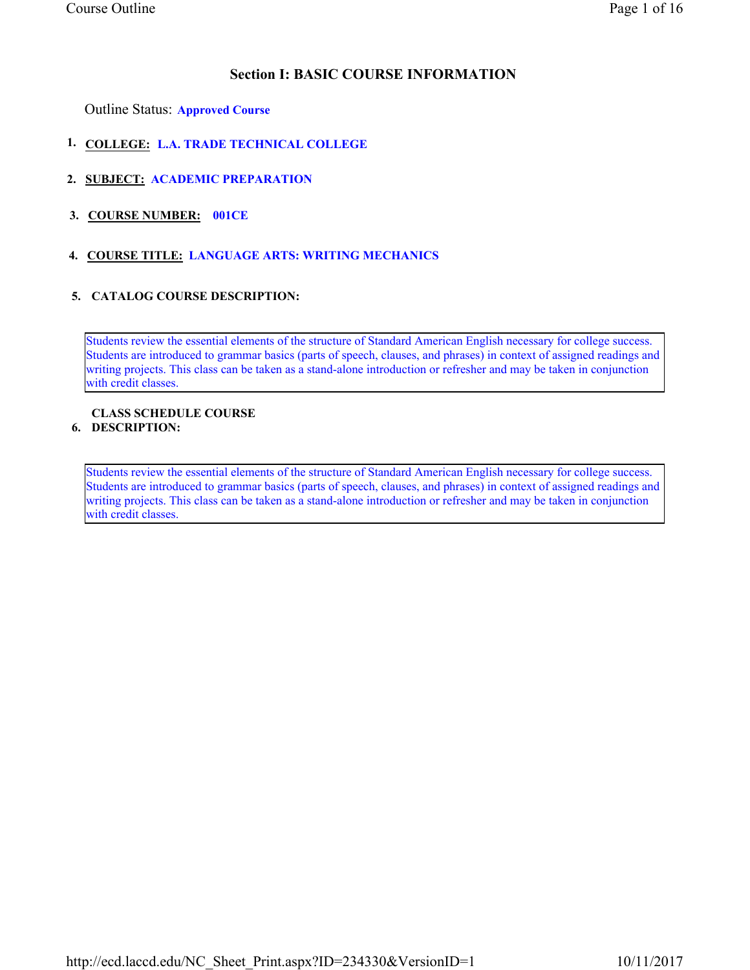# Section I: BASIC COURSE INFORMATION

Outline Status: Approved Course

- 1. COLLEGE: L.A. TRADE TECHNICAL COLLEGE
- 2. SUBJECT: ACADEMIC PREPARATION
- 3. COURSE NUMBER: 001CE
- 4. COURSE TITLE: LANGUAGE ARTS: WRITING MECHANICS

## 5. CATALOG COURSE DESCRIPTION:

Students review the essential elements of the structure of Standard American English necessary for college success. Students are introduced to grammar basics (parts of speech, clauses, and phrases) in context of assigned readings and writing projects. This class can be taken as a stand-alone introduction or refresher and may be taken in conjunction with credit classes.

#### 6. DESCRIPTION: CLASS SCHEDULE COURSE

Students review the essential elements of the structure of Standard American English necessary for college success. Students are introduced to grammar basics (parts of speech, clauses, and phrases) in context of assigned readings and writing projects. This class can be taken as a stand-alone introduction or refresher and may be taken in conjunction with credit classes.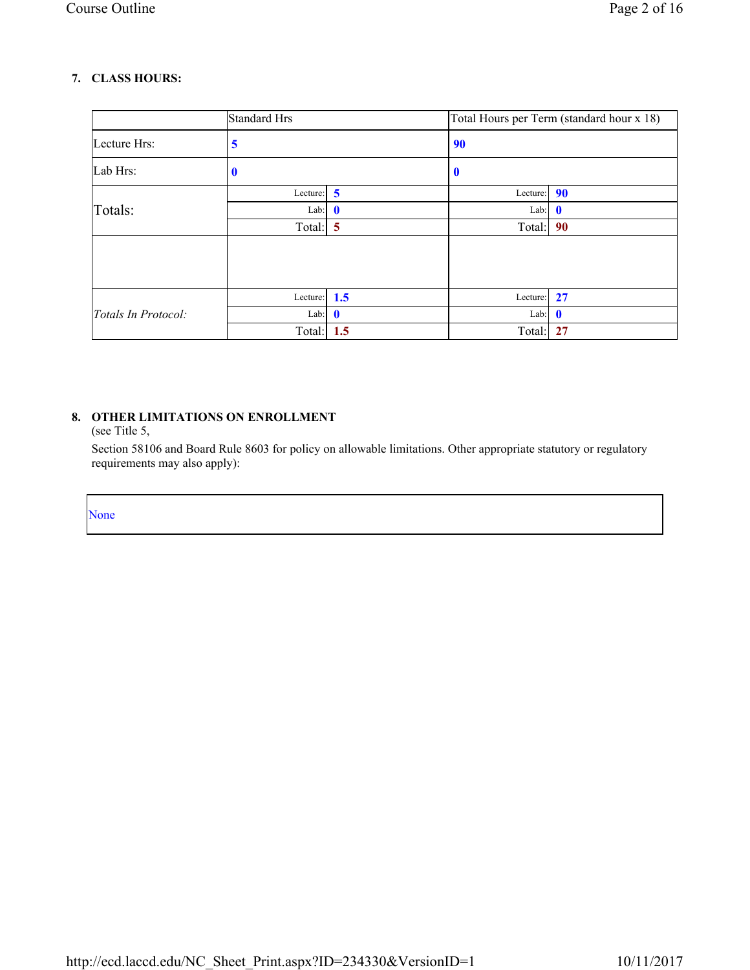# 7. CLASS HOURS:

|                     | <b>Standard Hrs</b> |                         |               | Total Hours per Term (standard hour x 18) |
|---------------------|---------------------|-------------------------|---------------|-------------------------------------------|
| Lecture Hrs:        | 5                   |                         | 90            |                                           |
| Lab Hrs:            | U                   |                         | $\bf{0}$      |                                           |
|                     | Lecture:            | $\overline{\mathbf{5}}$ | Lecture:      | 90                                        |
| Totals:             | Lab:                | $\mathbf{0}$            | Lab: $\theta$ |                                           |
|                     | Total:              | $\overline{5}$          | Total:        | 90                                        |
|                     |                     |                         |               |                                           |
|                     | Lecture:            | 1.5                     | Lecture:      | 27                                        |
| Totals In Protocol: | Lab:                | $\mathbf 0$             | Lab:          | $\mathbf{0}$                              |
|                     | Total:              | 1.5                     | Total:        | 27                                        |

# 8. OTHER LIMITATIONS ON ENROLLMENT

(see Title 5,

Section 58106 and Board Rule 8603 for policy on allowable limitations. Other appropriate statutory or regulatory requirements may also apply):

None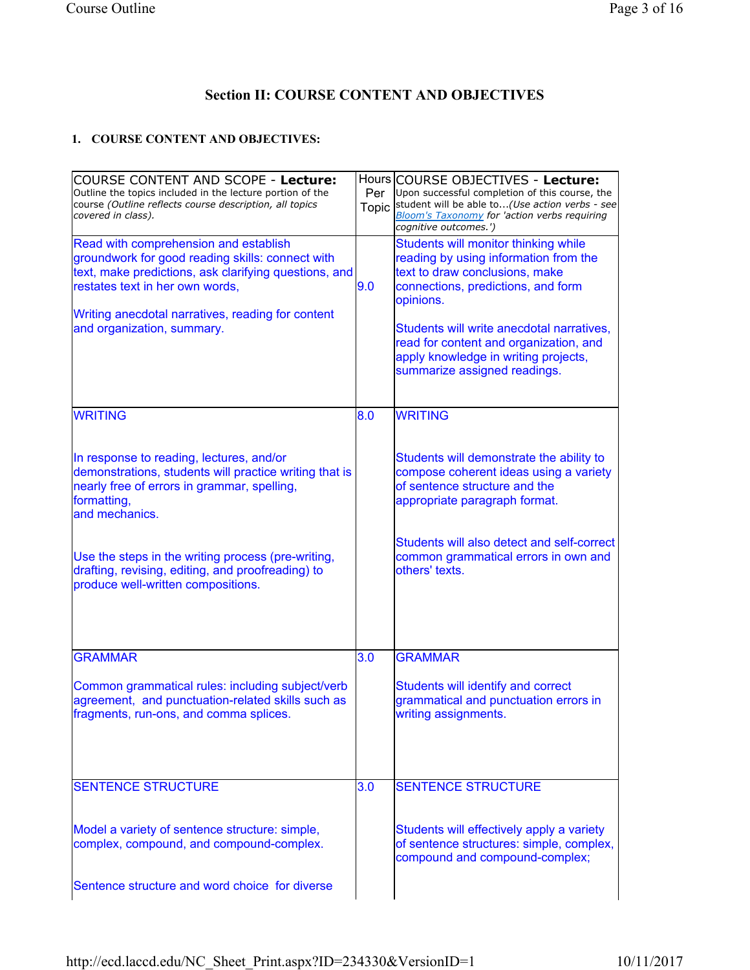# Section II: COURSE CONTENT AND OBJECTIVES

# 1. COURSE CONTENT AND OBJECTIVES:

| COURSE CONTENT AND SCOPE - Lecture:<br>Outline the topics included in the lecture portion of the<br>course (Outline reflects course description, all topics<br>covered in class).                                                                                        | Per | Hours COURSE OBJECTIVES - Lecture:<br>Upon successful completion of this course, the<br>Topic student will be able to(Use action verbs - see<br><b>Bloom's Taxonomy for 'action verbs requiring</b><br>cognitive outcomes.')                                                                                                      |
|--------------------------------------------------------------------------------------------------------------------------------------------------------------------------------------------------------------------------------------------------------------------------|-----|-----------------------------------------------------------------------------------------------------------------------------------------------------------------------------------------------------------------------------------------------------------------------------------------------------------------------------------|
| Read with comprehension and establish<br>groundwork for good reading skills: connect with<br>text, make predictions, ask clarifying questions, and<br>restates text in her own words,<br>Writing anecdotal narratives, reading for content<br>and organization, summary. | 9.0 | Students will monitor thinking while<br>reading by using information from the<br>text to draw conclusions, make<br>connections, predictions, and form<br>opinions.<br>Students will write anecdotal narratives,<br>read for content and organization, and<br>apply knowledge in writing projects,<br>summarize assigned readings. |
| <b>WRITING</b>                                                                                                                                                                                                                                                           | 8.0 | <b>WRITING</b>                                                                                                                                                                                                                                                                                                                    |
| In response to reading, lectures, and/or<br>demonstrations, students will practice writing that is<br>nearly free of errors in grammar, spelling,<br>formatting,<br>and mechanics.                                                                                       |     | Students will demonstrate the ability to<br>compose coherent ideas using a variety<br>of sentence structure and the<br>appropriate paragraph format.                                                                                                                                                                              |
| Use the steps in the writing process (pre-writing,<br>drafting, revising, editing, and proofreading) to<br>produce well-written compositions.                                                                                                                            |     | Students will also detect and self-correct<br>common grammatical errors in own and<br>others' texts.                                                                                                                                                                                                                              |
| <b>GRAMMAR</b>                                                                                                                                                                                                                                                           | 3.0 | <b>GRAMMAR</b>                                                                                                                                                                                                                                                                                                                    |
| Common grammatical rules: including subject/verb<br>agreement, and punctuation-related skills such as<br>fragments, run-ons, and comma splices.                                                                                                                          |     | Students will identify and correct<br>grammatical and punctuation errors in<br>writing assignments.                                                                                                                                                                                                                               |
| <b>SENTENCE STRUCTURE</b>                                                                                                                                                                                                                                                | 3.0 | <b>SENTENCE STRUCTURE</b>                                                                                                                                                                                                                                                                                                         |
| Model a variety of sentence structure: simple,<br>complex, compound, and compound-complex.                                                                                                                                                                               |     | Students will effectively apply a variety<br>of sentence structures: simple, complex,<br>compound and compound-complex;                                                                                                                                                                                                           |
| Sentence structure and word choice for diverse                                                                                                                                                                                                                           |     |                                                                                                                                                                                                                                                                                                                                   |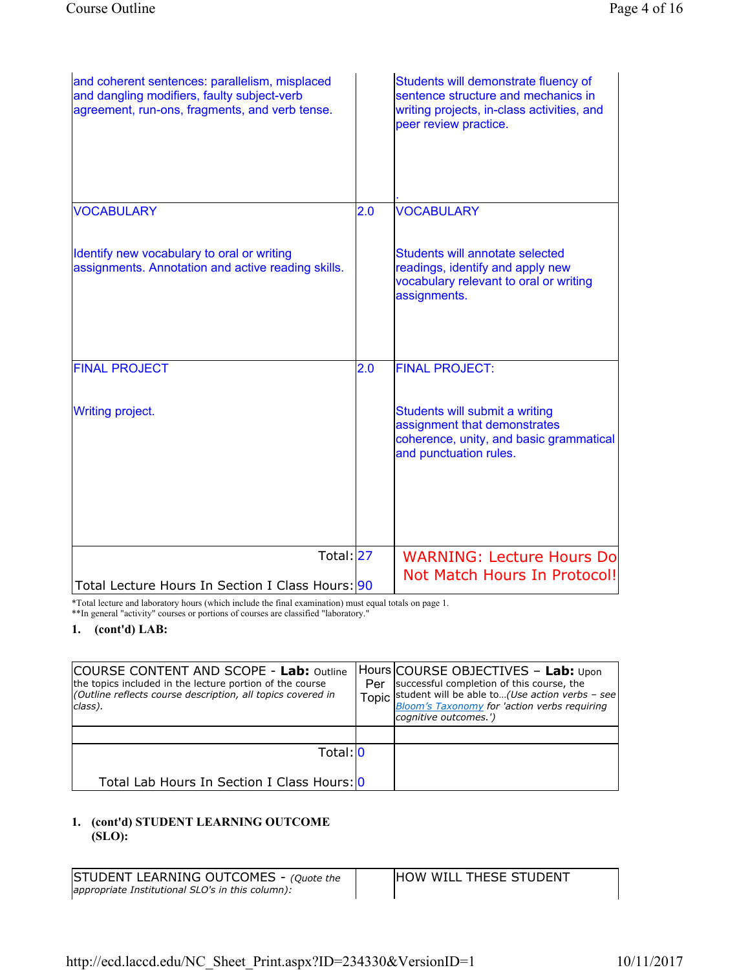| and coherent sentences: parallelism, misplaced<br>and dangling modifiers, faulty subject-verb<br>agreement, run-ons, fragments, and verb tense. |     | Students will demonstrate fluency of<br>sentence structure and mechanics in<br>writing projects, in-class activities, and<br>peer review practice. |
|-------------------------------------------------------------------------------------------------------------------------------------------------|-----|----------------------------------------------------------------------------------------------------------------------------------------------------|
| <b>VOCABULARY</b>                                                                                                                               | 2.0 | <b>VOCABULARY</b>                                                                                                                                  |
| Identify new vocabulary to oral or writing<br>assignments. Annotation and active reading skills.                                                |     | Students will annotate selected<br>readings, identify and apply new<br>vocabulary relevant to oral or writing<br>assignments.                      |
| <b>FINAL PROJECT</b>                                                                                                                            | 2.0 | <b>FINAL PROJECT:</b>                                                                                                                              |
| <b>Writing project.</b>                                                                                                                         |     | Students will submit a writing<br>assignment that demonstrates<br>coherence, unity, and basic grammatical<br>and punctuation rules.                |
|                                                                                                                                                 |     |                                                                                                                                                    |
| Total: 27<br>Total Lecture Hours In Section I Class Hours: 90                                                                                   |     | <b>WARNING: Lecture Hours Do</b><br>Not Match Hours In Protocol!                                                                                   |

\*Total lecture and laboratory hours (which include the final examination) must equal totals on page 1. \*\*In general "activity" courses or portions of courses are classified "laboratory."

1. (cont'd) LAB:

| <b>COURSE CONTENT AND SCOPE - Lab: Outline</b><br>the topics included in the lecture portion of the course<br>(Outline reflects course description, all topics covered in<br>class). | Per | Hours COURSE OBJECTIVES - Lab: Upon<br>successful completion of this course, the<br>Topic student will be able to(Use action verbs - see<br>Bloom's Taxonomy for 'action verbs requiring<br>cognitive outcomes.') |
|--------------------------------------------------------------------------------------------------------------------------------------------------------------------------------------|-----|-------------------------------------------------------------------------------------------------------------------------------------------------------------------------------------------------------------------|
|                                                                                                                                                                                      |     |                                                                                                                                                                                                                   |
| Total: 0                                                                                                                                                                             |     |                                                                                                                                                                                                                   |
| Total Lab Hours In Section I Class Hours: 0                                                                                                                                          |     |                                                                                                                                                                                                                   |

## 1. (cont'd) STUDENT LEARNING OUTCOME (SLO):

STUDENT LEARNING OUTCOMES - (Quote the appropriate Institutional SLO's in this column):

HOW WILL THESE STUDENT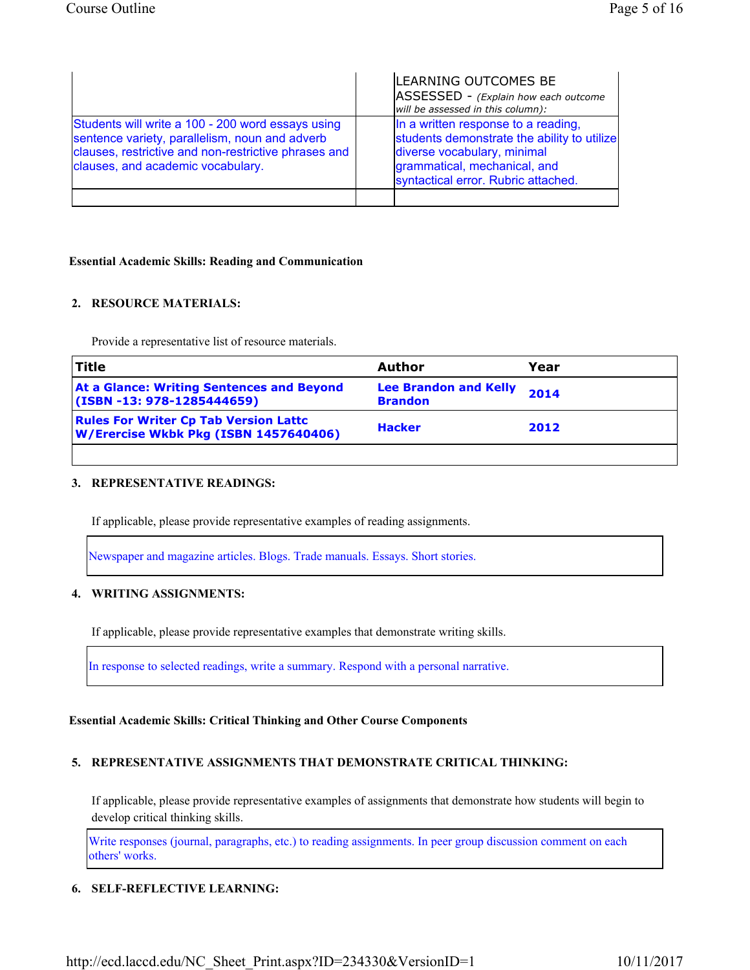|                                                                                                                                                                                                  | LEARNING OUTCOMES BE<br>ASSESSED - (Explain how each outcome<br>will be assessed in this column):                                                                                        |
|--------------------------------------------------------------------------------------------------------------------------------------------------------------------------------------------------|------------------------------------------------------------------------------------------------------------------------------------------------------------------------------------------|
| Students will write a 100 - 200 word essays using<br>sentence variety, parallelism, noun and adverb<br>clauses, restrictive and non-restrictive phrases and<br>clauses, and academic vocabulary. | In a written response to a reading,<br>students demonstrate the ability to utilize<br>diverse vocabulary, minimal<br>grammatical, mechanical, and<br>syntactical error. Rubric attached. |
|                                                                                                                                                                                                  |                                                                                                                                                                                          |

#### Essential Academic Skills: Reading and Communication

## 2. RESOURCE MATERIALS:

Provide a representative list of resource materials.

| <b>Title</b>                                                                          | Author                                         | Year |
|---------------------------------------------------------------------------------------|------------------------------------------------|------|
| <b>At a Glance: Writing Sentences and Beyond</b><br>(ISBN -13: 978-1285444659)        | <b>Lee Brandon and Kelly</b><br><b>Brandon</b> | 2014 |
| <b>Rules For Writer Cp Tab Version Lattc</b><br>W/Erercise Wkbk Pkg (ISBN 1457640406) | <b>Hacker</b>                                  | 2012 |
|                                                                                       |                                                |      |

## 3. REPRESENTATIVE READINGS:

If applicable, please provide representative examples of reading assignments.

Newspaper and magazine articles. Blogs. Trade manuals. Essays. Short stories.

## 4. WRITING ASSIGNMENTS:

If applicable, please provide representative examples that demonstrate writing skills.

In response to selected readings, write a summary. Respond with a personal narrative.

## Essential Academic Skills: Critical Thinking and Other Course Components

## 5. REPRESENTATIVE ASSIGNMENTS THAT DEMONSTRATE CRITICAL THINKING:

If applicable, please provide representative examples of assignments that demonstrate how students will begin to develop critical thinking skills.

Write responses (journal, paragraphs, etc.) to reading assignments. In peer group discussion comment on each others' works.

## 6. SELF-REFLECTIVE LEARNING: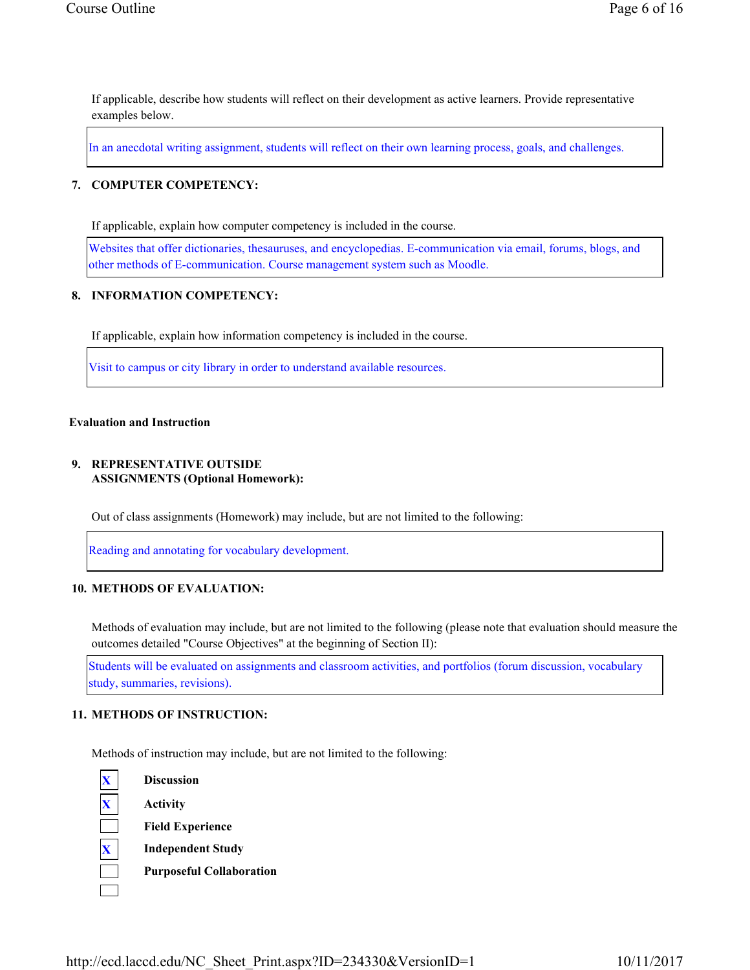If applicable, describe how students will reflect on their development as active learners. Provide representative examples below.

In an anecdotal writing assignment, students will reflect on their own learning process, goals, and challenges.

#### 7. COMPUTER COMPETENCY:

If applicable, explain how computer competency is included in the course.

Websites that offer dictionaries, thesauruses, and encyclopedias. E-communication via email, forums, blogs, and other methods of E-communication. Course management system such as Moodle.

#### 8. INFORMATION COMPETENCY:

If applicable, explain how information competency is included in the course.

Visit to campus or city library in order to understand available resources.

#### Evaluation and Instruction

#### 9. REPRESENTATIVE OUTSIDE ASSIGNMENTS (Optional Homework):

Out of class assignments (Homework) may include, but are not limited to the following:

Reading and annotating for vocabulary development.

#### 10. METHODS OF EVALUATION:

Methods of evaluation may include, but are not limited to the following (please note that evaluation should measure the outcomes detailed "Course Objectives" at the beginning of Section II):

Students will be evaluated on assignments and classroom activities, and portfolios (forum discussion, vocabulary study, summaries, revisions).

#### 11. METHODS OF INSTRUCTION:

Methods of instruction may include, but are not limited to the following:

**Discussion Activity** 

Field Experience

**Independent Study** 

Purposeful Collaboration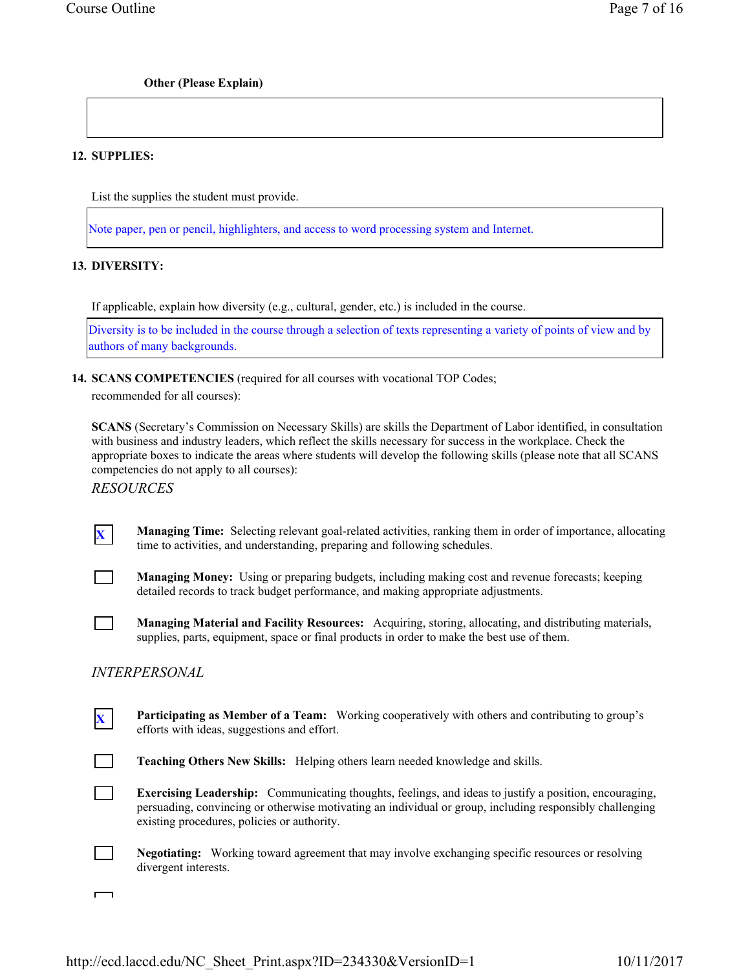## Other (Please Explain)

## 12. SUPPLIES:

List the supplies the student must provide.

Note paper, pen or pencil, highlighters, and access to word processing system and Internet.

## 13. DIVERSITY:

If applicable, explain how diversity (e.g., cultural, gender, etc.) is included in the course.

Diversity is to be included in the course through a selection of texts representing a variety of points of view and by authors of many backgrounds.

## 14. SCANS COMPETENCIES (required for all courses with vocational TOP Codes;

recommended for all courses):

SCANS (Secretary's Commission on Necessary Skills) are skills the Department of Labor identified, in consultation with business and industry leaders, which reflect the skills necessary for success in the workplace. Check the appropriate boxes to indicate the areas where students will develop the following skills (please note that all SCANS competencies do not apply to all courses):

RESOURCES

Managing Time: Selecting relevant goal-related activities, ranking them in order of importance, allocating time to activities, and understanding, preparing and following schedules.



 $\overline{\phantom{0}}$ 

Managing Money: Using or preparing budgets, including making cost and revenue forecasts; keeping detailed records to track budget performance, and making appropriate adjustments.

Managing Material and Facility Resources: Acquiring, storing, allocating, and distributing materials, supplies, parts, equipment, space or final products in order to make the best use of them.

## INTERPERSONAL

**X** Participating as Member of a Team: Working cooperatively with others and contributing to group's efforts with ideas, suggestions and effort. Teaching Others New Skills: Helping others learn needed knowledge and skills.

Exercising Leadership: Communicating thoughts, feelings, and ideas to justify a position, encouraging, persuading, convincing or otherwise motivating an individual or group, including responsibly challenging existing procedures, policies or authority.

Negotiating: Working toward agreement that may involve exchanging specific resources or resolving divergent interests.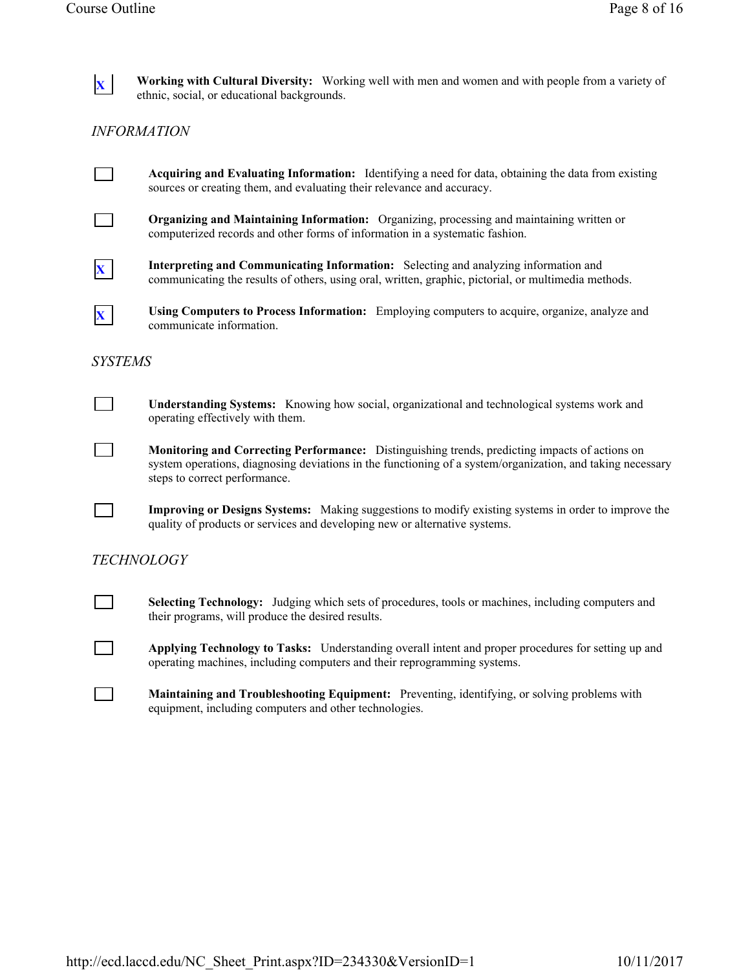

 $\mathbf{x}$  Working with Cultural Diversity: Working well with men and women and with people from a variety of ethnic, social, or educational backgrounds.

# INFORMATION



Acquiring and Evaluating Information: Identifying a need for data, obtaining the data from existing sources or creating them, and evaluating their relevance and accuracy.



Organizing and Maintaining Information: Organizing, processing and maintaining written or computerized records and other forms of information in a systematic fashion.



X Interpreting and Communicating Information: Selecting and analyzing information and communicating the results of others, using oral, written, graphic, pictorial, or multimedia methods.



 $\mathbf{x}$  Using Computers to Process Information: Employing computers to acquire, organize, analyze and communicate information.

## SYSTEMS



Monitoring and Correcting Performance: Distinguishing trends, predicting impacts of actions on system operations, diagnosing deviations in the functioning of a system/organization, and taking necessary steps to correct performance.

Improving or Designs Systems: Making suggestions to modify existing systems in order to improve the quality of products or services and developing new or alternative systems.

# **TECHNOLOGY**

Selecting Technology: Judging which sets of procedures, tools or machines, including computers and their programs, will produce the desired results.

Applying Technology to Tasks: Understanding overall intent and proper procedures for setting up and operating machines, including computers and their reprogramming systems.

Maintaining and Troubleshooting Equipment: Preventing, identifying, or solving problems with equipment, including computers and other technologies.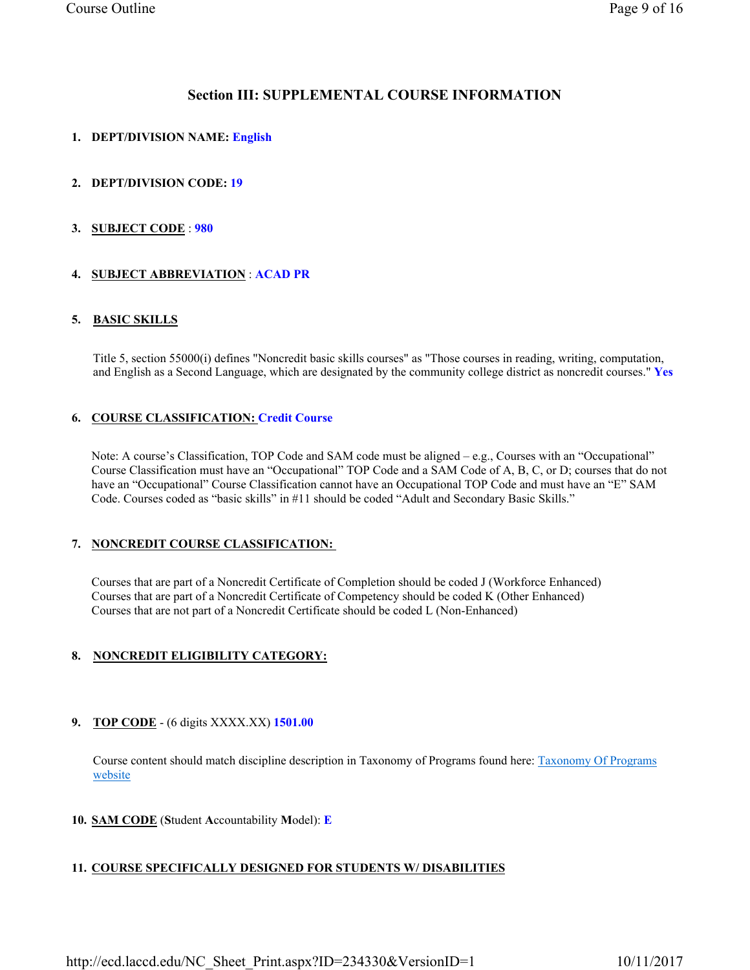## Section III: SUPPLEMENTAL COURSE INFORMATION

## 1. DEPT/DIVISION NAME: English

## 2. DEPT/DIVISION CODE: 19

## 3. SUBJECT CODE : 980

## 4. SUBJECT ABBREVIATION : ACAD PR

## 5. BASIC SKILLS

Title 5, section 55000(i) defines "Noncredit basic skills courses" as "Those courses in reading, writing, computation, and English as a Second Language, which are designated by the community college district as noncredit courses." Yes

## 6. COURSE CLASSIFICATION: Credit Course

Note: A course's Classification, TOP Code and SAM code must be aligned – e.g., Courses with an "Occupational" Course Classification must have an "Occupational" TOP Code and a SAM Code of A, B, C, or D; courses that do not have an "Occupational" Course Classification cannot have an Occupational TOP Code and must have an "E" SAM Code. Courses coded as "basic skills" in #11 should be coded "Adult and Secondary Basic Skills."

## 7. NONCREDIT COURSE CLASSIFICATION:

Courses that are part of a Noncredit Certificate of Completion should be coded J (Workforce Enhanced) Courses that are part of a Noncredit Certificate of Competency should be coded K (Other Enhanced) Courses that are not part of a Noncredit Certificate should be coded L (Non-Enhanced)

## 8. NONCREDIT ELIGIBILITY CATEGORY:

## 9. TOP CODE - (6 digits XXXX.XX) 1501.00

Course content should match discipline description in Taxonomy of Programs found here: Taxonomy Of Programs website

## 10. SAM CODE (Student Accountability Model): E

## 11. COURSE SPECIFICALLY DESIGNED FOR STUDENTS W/ DISABILITIES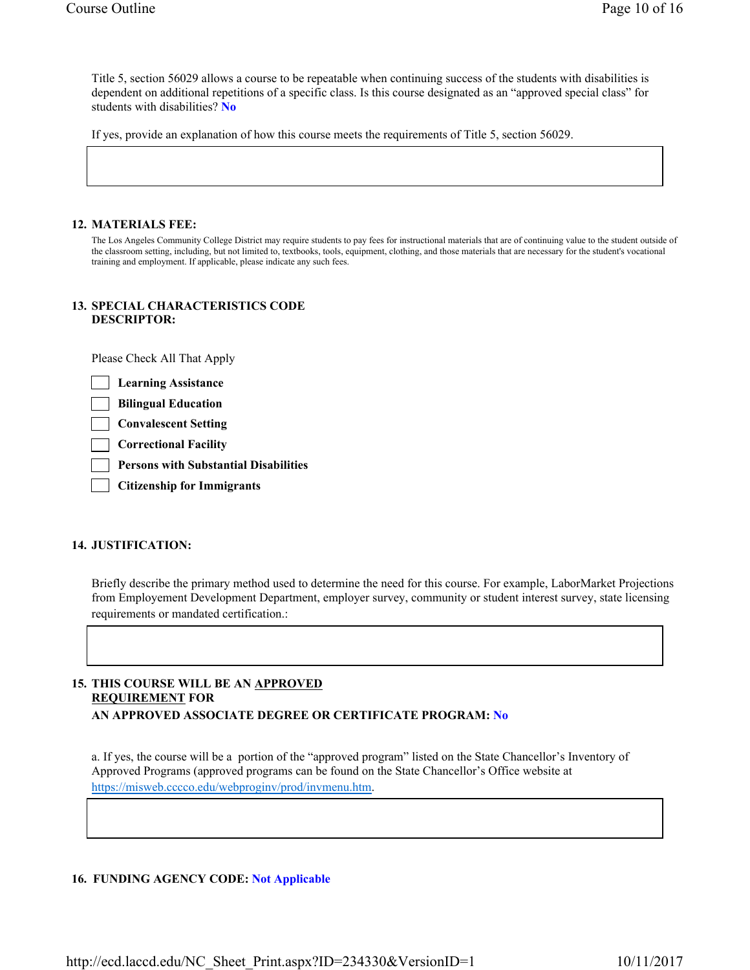Title 5, section 56029 allows a course to be repeatable when continuing success of the students with disabilities is dependent on additional repetitions of a specific class. Is this course designated as an "approved special class" for students with disabilities? No

If yes, provide an explanation of how this course meets the requirements of Title 5, section 56029.

#### 12. MATERIALS FEE:

The Los Angeles Community College District may require students to pay fees for instructional materials that are of continuing value to the student outside of the classroom setting, including, but not limited to, textbooks, tools, equipment, clothing, and those materials that are necessary for the student's vocational training and employment. If applicable, please indicate any such fees.

#### 13. SPECIAL CHARACTERISTICS CODE DESCRIPTOR:

Please Check All That Apply

Learning Assistance

Bilingual Education

Convalescent Setting

Correctional Facility

Persons with Substantial Disabilities

Citizenship for Immigrants

## 14. JUSTIFICATION:

Briefly describe the primary method used to determine the need for this course. For example, LaborMarket Projections from Employement Development Department, employer survey, community or student interest survey, state licensing requirements or mandated certification.:

## 15. THIS COURSE WILL BE AN APPROVED REQUIREMENT FOR AN APPROVED ASSOCIATE DEGREE OR CERTIFICATE PROGRAM: No

a. If yes, the course will be a portion of the "approved program" listed on the State Chancellor's Inventory of Approved Programs (approved programs can be found on the State Chancellor's Office website at https://misweb.cccco.edu/webproginv/prod/invmenu.htm.

## 16. FUNDING AGENCY CODE: Not Applicable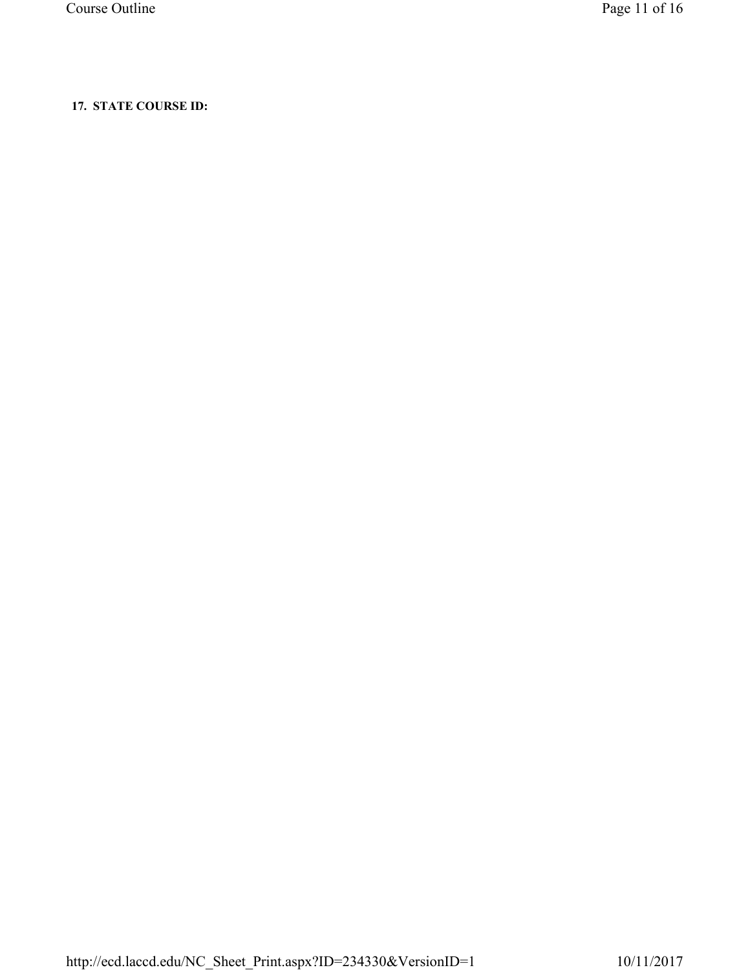# 17. STATE COURSE ID: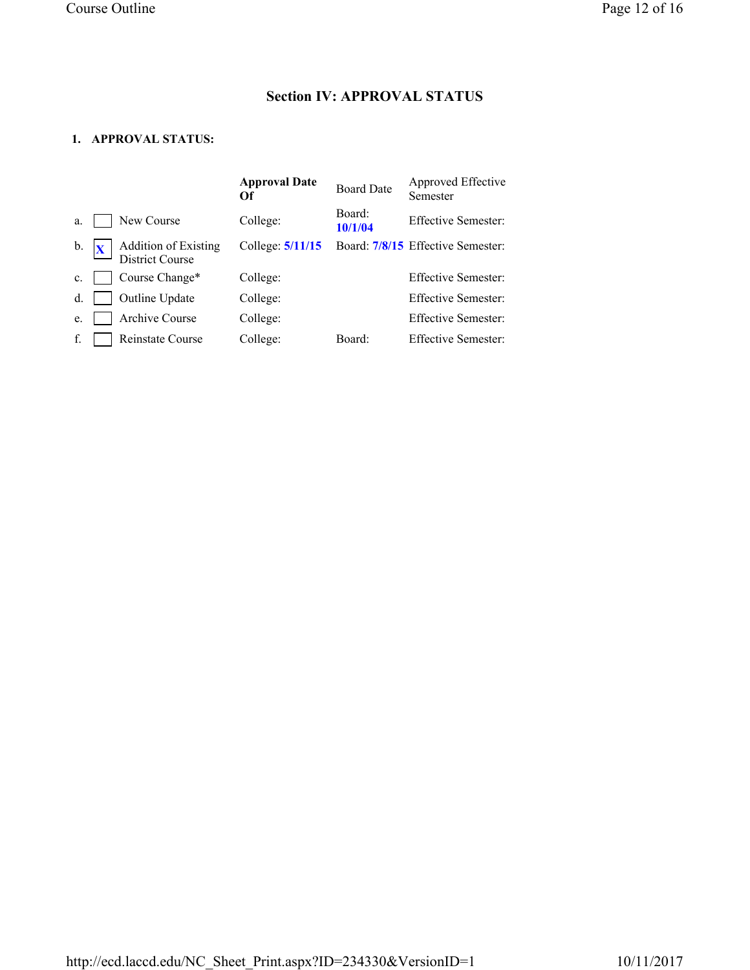# Section IV: APPROVAL STATUS

# 1. APPROVAL STATUS:

|                |                                         | <b>Approval Date</b><br>Of | <b>Board Date</b> | Approved Effective<br>Semester    |
|----------------|-----------------------------------------|----------------------------|-------------------|-----------------------------------|
| a.             | New Course                              | College:                   | Board:<br>10/1/04 | <b>Effective Semester:</b>        |
| $\mathbf{b}$ . | Addition of Existing<br>District Course | College: $5/11/15$         |                   | Board: 7/8/15 Effective Semester: |
| $\mathbf{c}$ . | Course Change*                          | College:                   |                   | <b>Effective Semester:</b>        |
| $d$ .          | Outline Update                          | College:                   |                   | <b>Effective Semester:</b>        |
| e.             | Archive Course                          | College:                   |                   | <b>Effective Semester:</b>        |
| f.             | Reinstate Course                        | College:                   | Board:            | <b>Effective Semester:</b>        |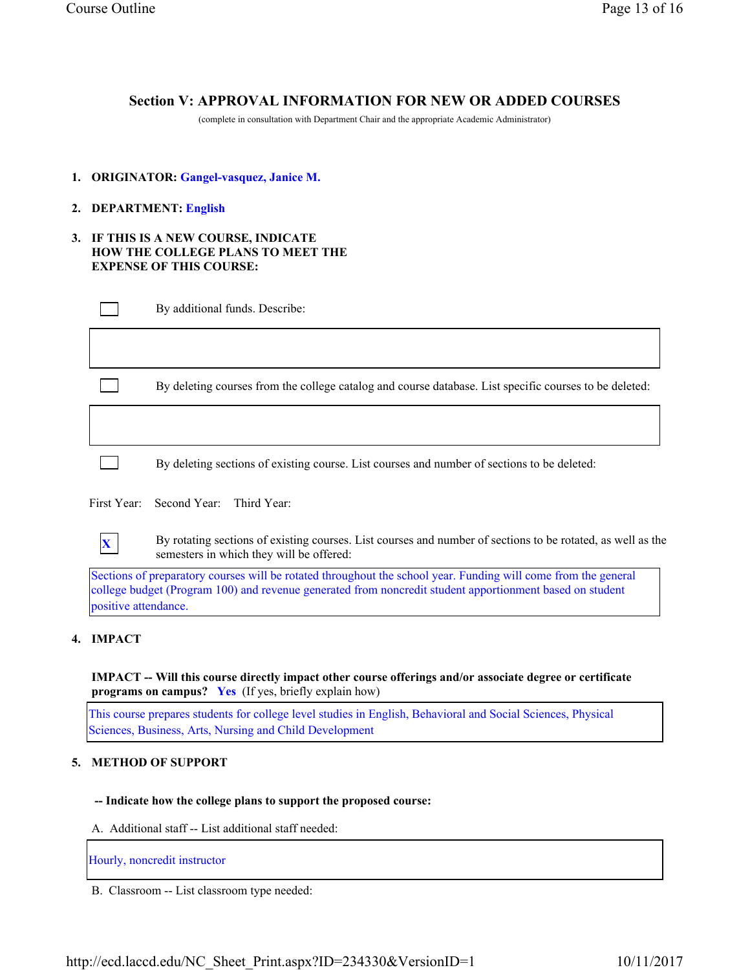# Section V: APPROVAL INFORMATION FOR NEW OR ADDED COURSES

(complete in consultation with Department Chair and the appropriate Academic Administrator)

- 1. ORIGINATOR: Gangel-vasquez, Janice M.
- 2. DEPARTMENT: English
- 3. IF THIS IS A NEW COURSE, INDICATE HOW THE COLLEGE PLANS TO MEET THE EXPENSE OF THIS COURSE:

| By additional funds. Describe:                       |
|------------------------------------------------------|
|                                                      |
| By deleting courses from the college catalog and cou |

arse database. List specific courses to be deleted:

By deleting sections of existing course. List courses and number of sections to be deleted:

First Year: Second Year: Third Year:



 $\mathbf{x}$  By rotating sections of existing courses. List courses and number of sections to be rotated, as well as the semesters in which they will be offered:

Sections of preparatory courses will be rotated throughout the school year. Funding will come from the general college budget (Program 100) and revenue generated from noncredit student apportionment based on student positive attendance.

## 4. IMPACT

IMPACT -- Will this course directly impact other course offerings and/or associate degree or certificate programs on campus? Yes (If yes, briefly explain how)

This course prepares students for college level studies in English, Behavioral and Social Sciences, Physical Sciences, Business, Arts, Nursing and Child Development

## 5. METHOD OF SUPPORT

#### -- Indicate how the college plans to support the proposed course:

A. Additional staff -- List additional staff needed:

## Hourly, noncredit instructor

B. Classroom -- List classroom type needed: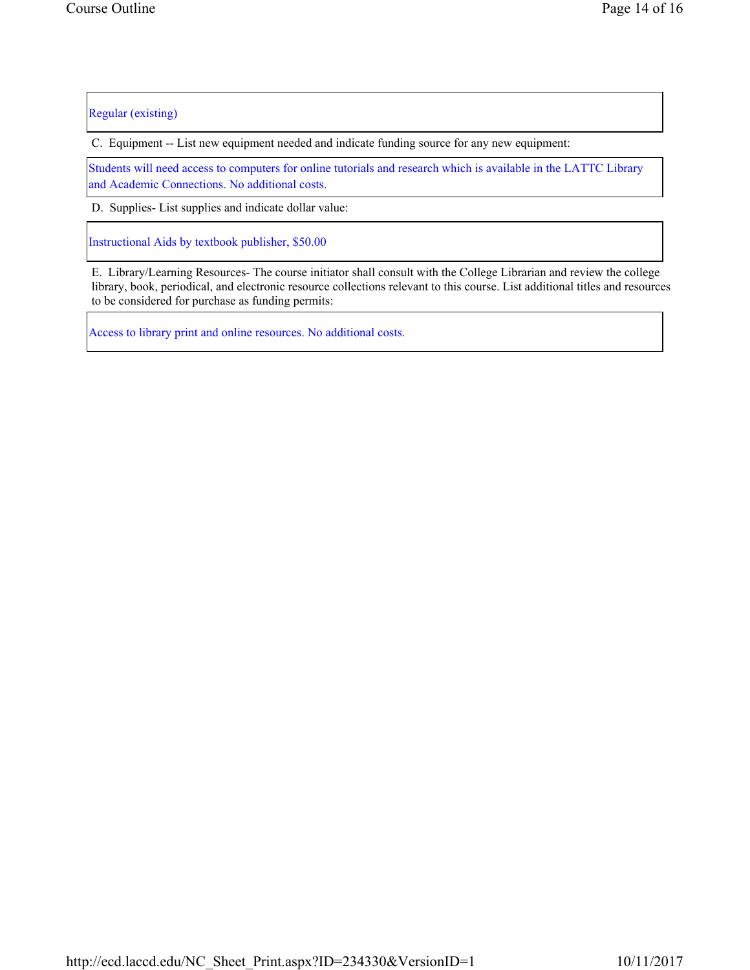Regular (existing)

C. Equipment -- List new equipment needed and indicate funding source for any new equipment:

Students will need access to computers for online tutorials and research which is available in the LATTC Library and Academic Connections. No additional costs.

D. Supplies- List supplies and indicate dollar value:

Instructional Aids by textbook publisher, \$50.00

E. Library/Learning Resources- The course initiator shall consult with the College Librarian and review the college library, book, periodical, and electronic resource collections relevant to this course. List additional titles and resources to be considered for purchase as funding permits:

Access to library print and online resources. No additional costs.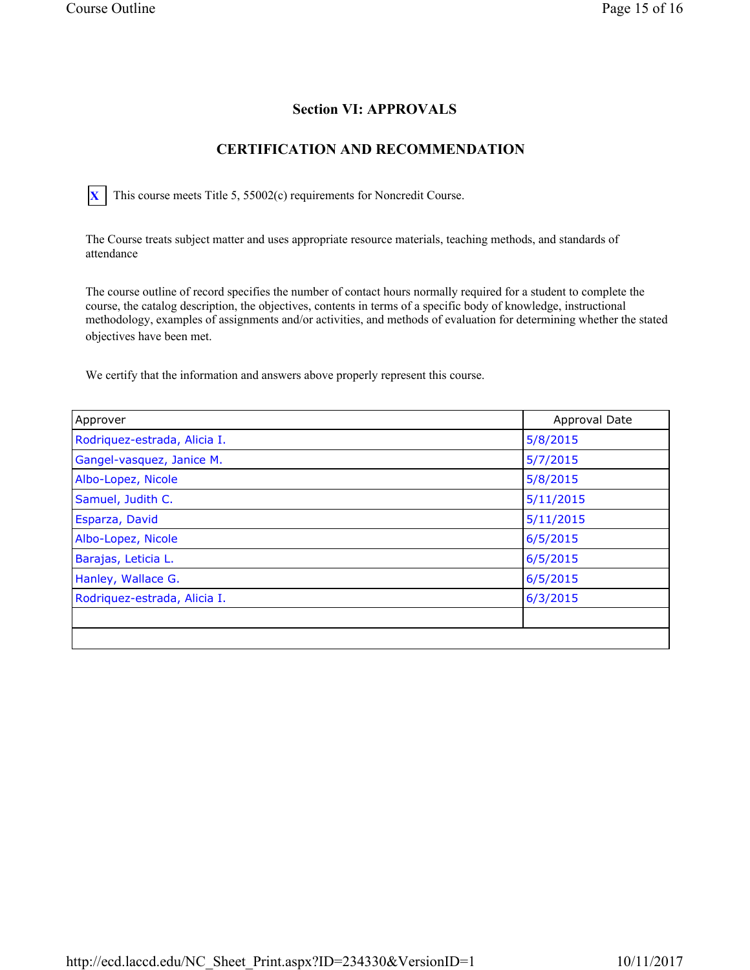# Section VI: APPROVALS

# CERTIFICATION AND RECOMMENDATION

 $\overline{X}$  This course meets Title 5, 55002(c) requirements for Noncredit Course.

The Course treats subject matter and uses appropriate resource materials, teaching methods, and standards of attendance

The course outline of record specifies the number of contact hours normally required for a student to complete the course, the catalog description, the objectives, contents in terms of a specific body of knowledge, instructional methodology, examples of assignments and/or activities, and methods of evaluation for determining whether the stated objectives have been met.

We certify that the information and answers above properly represent this course.

| Approver                     | Approval Date |
|------------------------------|---------------|
| Rodriquez-estrada, Alicia I. | 5/8/2015      |
| Gangel-vasquez, Janice M.    | 5/7/2015      |
| Albo-Lopez, Nicole           | 5/8/2015      |
| Samuel, Judith C.            | 5/11/2015     |
| Esparza, David               | 5/11/2015     |
| Albo-Lopez, Nicole           | 6/5/2015      |
| Barajas, Leticia L.          | 6/5/2015      |
| Hanley, Wallace G.           | 6/5/2015      |
| Rodriquez-estrada, Alicia I. | 6/3/2015      |
|                              |               |
|                              |               |